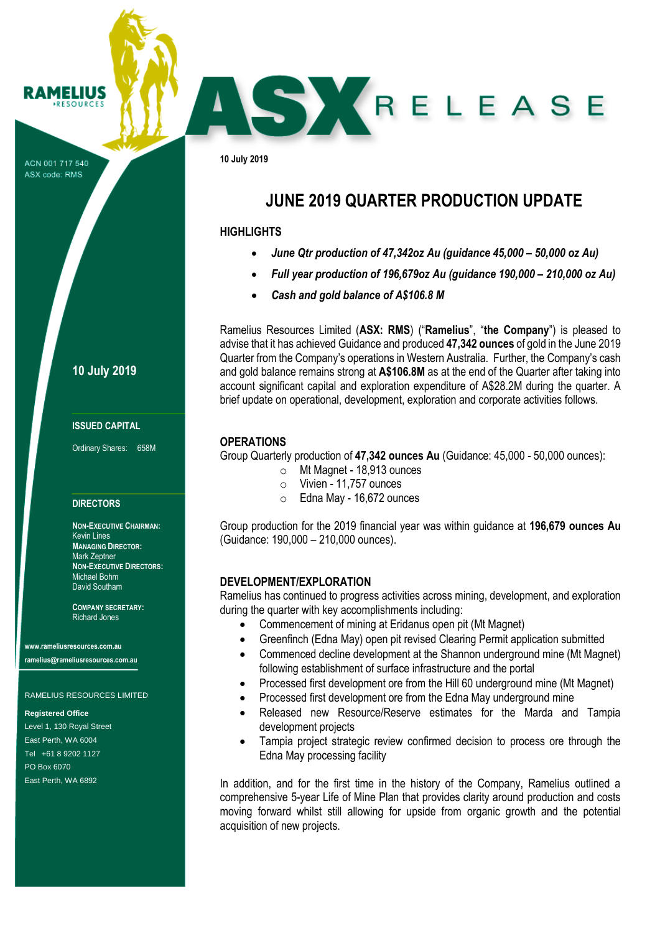ACN 001 717 540 ASX code: RMS

**RAMELIUS RESOURCES** 

**10 July 2019**

### **ISSUED CAPITAL**

Ordinary Shares: 658M

#### **DIRECTORS**

**NON-EXECUTIVE CHAIRMAN:** Kevin Lines **MANAGING DIRECTOR:** Mark Zeptner **NON-EXECUTIVE DIRECTORS:** Michael Bohm David Southam

**COMPANY SECRETARY:** Richard Jones

**www.rameliusresources.com.au ramelius@rameliusresources.com.au**

### RAMELIUS RESOURCES LIMITED

**Registered Office**

Level 1, 130 Royal Street East Perth, WA 6004 Tel +61 8 9202 1127 PO Box 6070 East Perth, WA 6892

brief update on operational, development, exploration and corporate activities follows. **OPERATIONS**

Group Quarterly production of **47,342 ounces Au** (Guidance: 45,000 - 50,000 ounces):

**JUNE 2019 QUARTER PRODUCTION UPDATE**

SKRELEASE

Ramelius Resources Limited (**ASX: RMS**) ("**Ramelius**", "**the Company**") is pleased to advise that it has achieved Guidance and produced **47,342 ounces** of gold in the June 2019 Quarter from the Company's operations in Western Australia. Further, the Company's cash and gold balance remains strong at **A\$106.8M** as at the end of the Quarter after taking into account significant capital and exploration expenditure of A\$28.2M during the quarter. A

• *June Qtr production of 47,342oz Au (guidance 45,000 – 50,000 oz Au)* • *Full year production of 196,679oz Au (guidance 190,000 – 210,000 oz Au)*

o Mt Magnet - 18,913 ounces

• *Cash and gold balance of A\$106.8 M*

- o Vivien 11,757 ounces
- o Edna May 16,672 ounces

Group production for the 2019 financial year was within guidance at **196,679 ounces Au**  (Guidance: 190,000 – 210,000 ounces).

### **DEVELOPMENT/EXPLORATION**

**10 July 2019**

**HIGHLIGHTS**

Ramelius has continued to progress activities across mining, development, and exploration during the quarter with key accomplishments including:

- Commencement of mining at Eridanus open pit (Mt Magnet)
- Greenfinch (Edna May) open pit revised Clearing Permit application submitted
- Commenced decline development at the Shannon underground mine (Mt Magnet) following establishment of surface infrastructure and the portal
- Processed first development ore from the Hill 60 underground mine (Mt Magnet)
- Processed first development ore from the Edna May underground mine
- Released new Resource/Reserve estimates for the Marda and Tampia development projects
- Tampia project strategic review confirmed decision to process ore through the Edna May processing facility

In addition, and for the first time in the history of the Company, Ramelius outlined a comprehensive 5-year Life of Mine Plan that provides clarity around production and costs moving forward whilst still allowing for upside from organic growth and the potential acquisition of new projects.